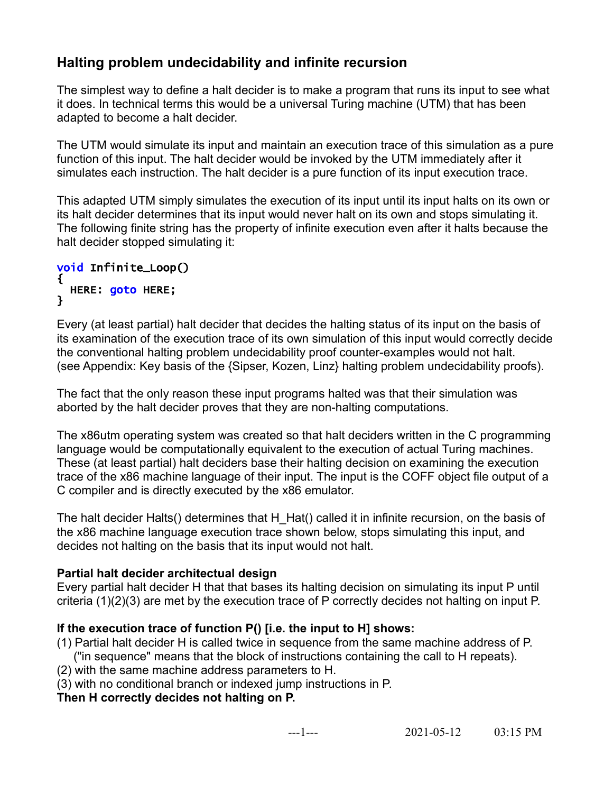# **Halting problem undecidability and infinite recursion**

The simplest way to define a halt decider is to make a program that runs its input to see what it does. In technical terms this would be a universal Turing machine (UTM) that has been adapted to become a halt decider.

The UTM would simulate its input and maintain an execution trace of this simulation as a pure function of this input. The halt decider would be invoked by the UTM immediately after it simulates each instruction. The halt decider is a pure function of its input execution trace.

This adapted UTM simply simulates the execution of its input until its input halts on its own or its halt decider determines that its input would never halt on its own and stops simulating it. The following finite string has the property of infinite execution even after it halts because the halt decider stopped simulating it:

#### void Infinite\_Loop() { HERE: goto HERE; }

Every (at least partial) halt decider that decides the halting status of its input on the basis of its examination of the execution trace of its own simulation of this input would correctly decide the conventional halting problem undecidability proof counter-examples would not halt. (see Appendix: Key basis of the {Sipser, Kozen, Linz} halting problem undecidability proofs).

The fact that the only reason these input programs halted was that their simulation was aborted by the halt decider proves that they are non-halting computations.

The x86utm operating system was created so that halt deciders written in the C programming language would be computationally equivalent to the execution of actual Turing machines. These (at least partial) halt deciders base their halting decision on examining the execution trace of the x86 machine language of their input. The input is the COFF object file output of a C compiler and is directly executed by the x86 emulator.

The halt decider Halts() determines that H\_Hat() called it in infinite recursion, on the basis of the x86 machine language execution trace shown below, stops simulating this input, and decides not halting on the basis that its input would not halt.

## **Partial halt decider architectual design**

Every partial halt decider H that that bases its halting decision on simulating its input P until criteria (1)(2)(3) are met by the execution trace of P correctly decides not halting on input P.

## **If the execution trace of function P() [i.e. the input to H] shows:**

(1) Partial halt decider H is called twice in sequence from the same machine address of P. ("in sequence" means that the block of instructions containing the call to H repeats).

- (2) with the same machine address parameters to H.
- (3) with no conditional branch or indexed jump instructions in P.

**Then H correctly decides not halting on P.**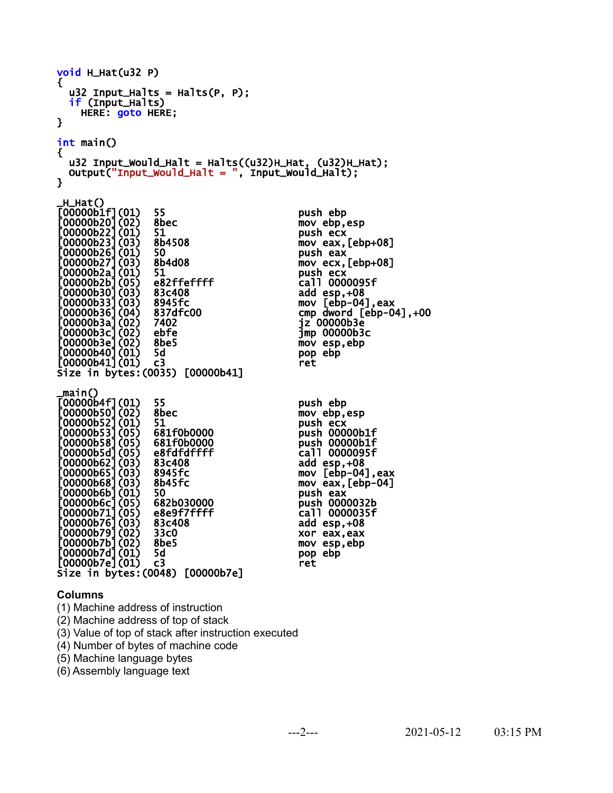| void H_Hat(u32 P)                                                                                                                                                                                                                                                                                                                                                       |                                                                                                                                                                                                      |                                                                                                                                                                                                                                                                                               |
|-------------------------------------------------------------------------------------------------------------------------------------------------------------------------------------------------------------------------------------------------------------------------------------------------------------------------------------------------------------------------|------------------------------------------------------------------------------------------------------------------------------------------------------------------------------------------------------|-----------------------------------------------------------------------------------------------------------------------------------------------------------------------------------------------------------------------------------------------------------------------------------------------|
| €<br>if (Input_Halts)<br>HERE: goto HERE;<br>}                                                                                                                                                                                                                                                                                                                          | $u32$ Input_Halts = Halts(P, P);                                                                                                                                                                     |                                                                                                                                                                                                                                                                                               |
| $int$ main()<br>€<br>ł                                                                                                                                                                                                                                                                                                                                                  | $u32$ Input_Would_Halt = Halts( $(u32)$ H_Hat, $(u32)$ H_Hat);<br>$Output("Input__Would__Halt = ", input__Would__Halt);$                                                                             |                                                                                                                                                                                                                                                                                               |
| _H_Hat()<br>[00000b1f](01)<br>[00000b20] (02)<br>[00000b22] (01)<br>00000b23](03) <br>[00000b26](01)<br>$[00000b27]$ (03)<br>[00000b2a] (01)<br>[00000b2b] (05)<br>[00000b30] (03)<br>[00000b33] (03)<br>[00000b33] (04)<br>[00000b36] (04)<br>[00000b3a] (02)<br>[00000b3c] (02)<br>[00000b3e](02)<br>[00000b40](01)<br>$[00000b41](01)$ c3                            | 55<br>8bec<br>51<br>8b4508<br>50<br>8b4d08<br>51<br>e82ffeffff<br>83c408<br>8945fc<br>837dfc00<br>7402<br>ebfe<br>8be5<br>5d<br>Size in bytes: (0035) [00000b41]                                     | push ebp<br>mov ebp, esp<br>push ecx<br>mov eax, $[ebp+08]$<br>push eax<br>$mov$ ecx, $[ebp+08]$<br>push ecx<br>call 0000095f<br>add esp, +08<br>$mov [ebp-04]$ , eax<br>cmp dword $[ebp-04]$ , $+00$<br>jz 00000b3e<br>$\mathsf{Jmp}$ 00000 $\mathsf{b3c}$<br>mov esp, ebp<br>pop ebp<br>ret |
| _main()<br>[00000b4f](01)<br><b>[00000b50] (02)</b><br>$00000052]$ $(01)$<br>[00000b53] (05)<br>$[00000b58]$ (05)<br>[00000b5d] (05)<br>[00000b62] (03)<br>[00000b62] (03)<br>[00000b68] (03)<br>[00000b68] (03)<br>:00000b6b] (01)<br>:00000b6c] (05)<br>:00000b71] (05)<br>[00000b76] (03)<br>[00000b79] (02)<br>[00000b7b] (02)<br>[00000b7d] (01)<br>[00000b7e](01) | 55<br>8bec<br>51<br>681f0b0000<br>681f0b0000<br>e8fdfdffff<br>83c408<br>8945fc<br>8b45fc<br>50<br>682b030000<br>e8e9f7ffff<br>83c408<br>33c0<br>8be5<br>5d<br>C3<br>Size in bytes: (0048) [00000b7e] | push ebp<br>mov ebp, esp<br>push ecx<br>push 00000b1f<br>push 00000b1f<br>call 0000095f<br>add $esp,+08$<br>mov [ebp-04], eax<br>mov eax, $[ebp-04]$<br>push eax<br>push 0000032b<br>call 0000035f<br>add $esp,+08$<br>xor eax, eax<br>mov esp,ebp<br>pop ebp<br>ret                          |

#### **Columns**

(1) Machine address of instruction

(2) Machine address of top of stack

(3) Value of top of stack after instruction executed

(4) Number of bytes of machine code

(5) Machine language bytes

(6) Assembly language text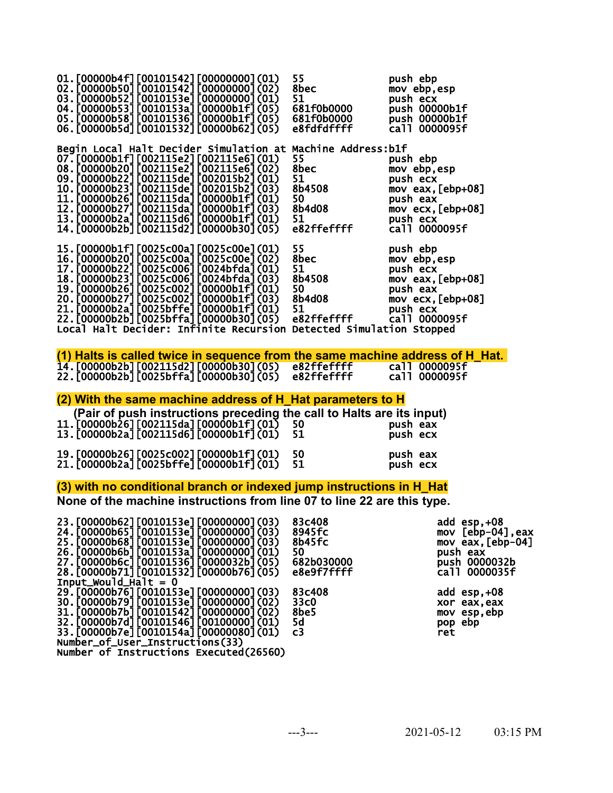| 01. [00000b4f] [00101542] [00000000] (01)<br>02.[00000b50][00101542][00000000](02)<br>03.[00000b52][0010153e][00000000](01)<br>04.[00000b53][0010153a][00000b1f](05)<br>05. [00000b58] [00101536] [00000b1f] (05)<br>06. [00000b5d] [00101532] [00000b62] (05)                                                                                                                                                                                                                                                                                                                                                           | 55<br>8bec<br>51<br>э1<br>681f0b0000<br>681f0b0000<br>e8fdfdffff                                   | push ebp<br>mov ebp,esp<br>push ecx<br>push 00000b1f<br>push 00000b1f<br>call 0000095f                                                                                              |  |  |
|--------------------------------------------------------------------------------------------------------------------------------------------------------------------------------------------------------------------------------------------------------------------------------------------------------------------------------------------------------------------------------------------------------------------------------------------------------------------------------------------------------------------------------------------------------------------------------------------------------------------------|----------------------------------------------------------------------------------------------------|-------------------------------------------------------------------------------------------------------------------------------------------------------------------------------------|--|--|
| Begin Local Halt Decider Simulation at Machine Address:b1f<br>07.[00000b1f][002115e2][002115e6](01)<br>08.[00000b20][002115e2][002115e6](02)<br>09. [00000b22] [002115de] [002015b2] (01)<br>10. [00000b23] [002115de] [002015b2] (03)<br>11. [00000b26] [002115da] [00000b1f] (01)<br>12. [00000b27] [002115da] [00000b1f] (03)<br>13. [00000b2a] [002115d6] [00000b1f] (01)<br>14. [00000b2b] [002115d2] [00000b30] (05)                                                                                                                                                                                               | 55<br><b>55<br/>8bec<br/>51<br/>8b4508<br/>50<br/>8b4d08</b><br>51<br>51<br>e82ffeffff             | push ebp<br>mov ebp, esp<br>push ecx<br>mov eax, $[ebp+08]$<br>push eax<br>$mov$ ecx, $[ebp+08]$<br>push ecx<br>call 0000095f                                                       |  |  |
| 15.[00000b1f][0025c00a][0025c00e](01) 55<br>16.[00000b20][0025c00a][0025c00e](02) 8bec<br>17.[00000b22][0025c006][0024bfda](01) 51<br>18.[00000b23][0025c006][0024bfda](03) 8b4508<br>19.[00000b26][0025c002][00000b1f](01) 50<br>20.[00000b2<br>Local Halt Decider: Infinite Recursion Detected Simulation Stopped                                                                                                                                                                                                                                                                                                      |                                                                                                    | push ebp<br>mov ebp,esp<br>push ecx<br>mov eax, $[ebp+08]$<br>push eax<br>$mov$ ecx, $[ebp+08]$<br>push ecx<br>call 0000095f                                                        |  |  |
| (1) Halts is called twice in sequence from the same machine address of H Hat.<br>22.[00000b2b][0025bffa][00000b30](05)                                                                                                                                                                                                                                                                                                                                                                                                                                                                                                   | e82ffeffff                                                                                         | call 0000095f                                                                                                                                                                       |  |  |
| (2) With the same machine address of H_Hat parameters to H                                                                                                                                                                                                                                                                                                                                                                                                                                                                                                                                                               |                                                                                                    |                                                                                                                                                                                     |  |  |
| (Pair of push instructions preceding the call to Halts are its input)<br>11. [00000b26] [002115da] [00000b1f] (01)<br>13. [00000b2a] [002115d6] [00000b1f] (01)                                                                                                                                                                                                                                                                                                                                                                                                                                                          | 50<br>51                                                                                           | push eax<br>push ecx                                                                                                                                                                |  |  |
| 19. [00000b26] [0025c002] [00000b1f] (01)<br>21. [00000b2a] [0025bffe] [00000b1f] (01)                                                                                                                                                                                                                                                                                                                                                                                                                                                                                                                                   | 50<br>51                                                                                           | push eax<br>push ecx                                                                                                                                                                |  |  |
| (3) with no conditional branch or indexed jump instructions in H_Hat                                                                                                                                                                                                                                                                                                                                                                                                                                                                                                                                                     |                                                                                                    |                                                                                                                                                                                     |  |  |
| None of the machine instructions from line 07 to line 22 are this type.                                                                                                                                                                                                                                                                                                                                                                                                                                                                                                                                                  |                                                                                                    |                                                                                                                                                                                     |  |  |
| 23. [00000b62] [0010153e] [00000000] (03)<br>24. [00000b65] [0010153e] [00000000] (03)<br>25. [00000b68] [0010153e] [00000000] (03)<br>26. [00000b6b] [0010153a] [00000000] (01)<br>27. [00000b6c] [00101536] [0000032b] (05)<br>28. [00000b71] [00101532] [00000b76] (05)<br>$Input_{\text{woul}}$ d_Halt = 0<br>29. [00000b76] [0010153e] [00000000] (03)<br>30. [00000b79] [0010153e] [00000000] (02)<br>31. [00000b7b] [00101542] [00000000] (02)<br>32.[00000b7d][00101546][00100000](01)<br>33. [00000b7e] [0010154a] [00000080] (01)<br>Number_of_User_Instructions(33)<br>Number of Instructions Executed(26560) | 83c408<br>8945fc<br>8b45fc<br>50<br>682b030000<br>e8e9f7ffff<br>83c408<br>33c0<br>8be5<br>5d<br>c3 | add esp, +08<br>$mov [ebp-04]$ , eax<br>mov eax, $[ebp-04]$<br>push eax<br>push 0000032b<br>call 0000035f<br>add $\text{esp}, +08$<br>xor eax, eax<br>mov esp,ebp<br>pop ebp<br>ret |  |  |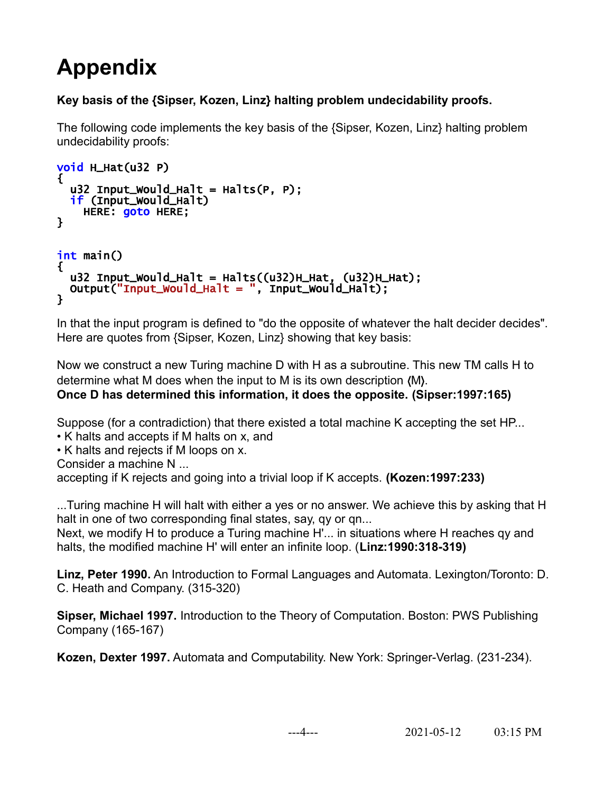# **Appendix**

# **Key basis of the {Sipser, Kozen, Linz} halting problem undecidability proofs.**

The following code implements the key basis of the {Sipser, Kozen, Linz} halting problem undecidability proofs:

```
void H_Hat(u32 P) 
{
  u32 Input_Would_Halt = Halts(P, P);
   if (Input_Would_Halt) 
     HERE: goto HERE; 
} 
int main() 
{ 
  u32 Input_Would_Halt = Halts((u32)H_Hat, (u32)H_Hat);
   Output("Input_Would_Halt = ", Input_Would_Halt);
}
```
In that the input program is defined to "do the opposite of whatever the halt decider decides". Here are quotes from {Sipser, Kozen, Linz} showing that key basis:

Now we construct a new Turing machine D with H as a subroutine. This new TM calls H to determine what M does when the input to M is its own description ⟨M⟩. **Once D has determined this information, it does the opposite. (Sipser:1997:165)**

Suppose (for a contradiction) that there existed a total machine K accepting the set HP...

• K halts and accepts if M halts on x, and

• K halts and rejects if M loops on x.

Consider a machine N ...

accepting if K rejects and going into a trivial loop if K accepts. **(Kozen:1997:233)**

...Turing machine H will halt with either a yes or no answer. We achieve this by asking that H halt in one of two corresponding final states, say, qy or qn...

Next, we modify H to produce a Turing machine H'... in situations where H reaches qy and halts, the modified machine H' will enter an infinite loop. (**Linz:1990:318-319)**

**Linz, Peter 1990.** An Introduction to Formal Languages and Automata. Lexington/Toronto: D. C. Heath and Company. (315-320)

**Sipser, Michael 1997.** Introduction to the Theory of Computation. Boston: PWS Publishing Company (165-167)

**Kozen, Dexter 1997.** Automata and Computability. New York: Springer-Verlag. (231-234).